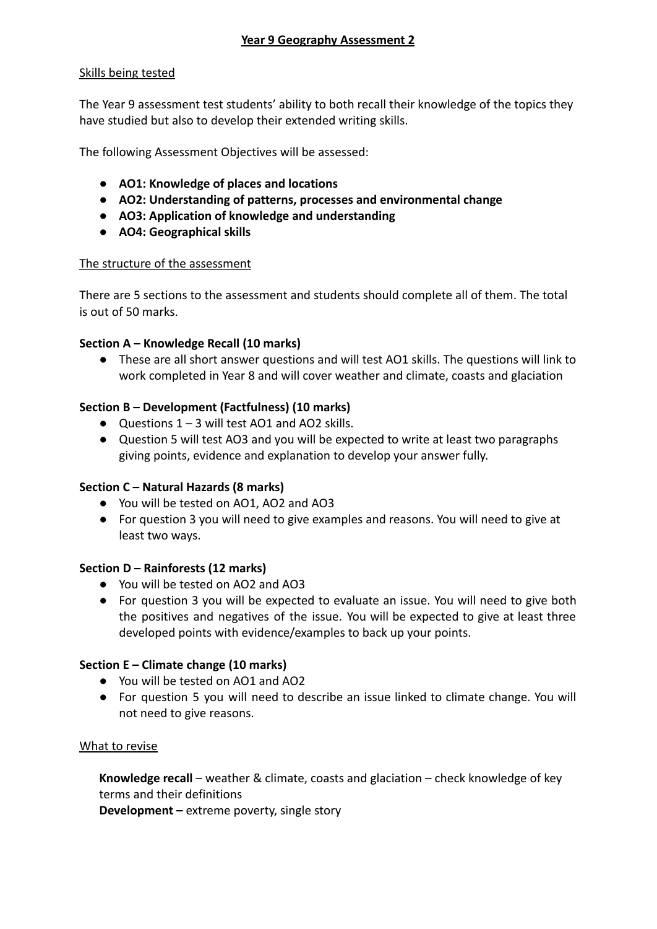## Skills being tested

The Year 9 assessment test students' ability to both recall their knowledge of the topics they have studied but also to develop their extended writing skills.

The following Assessment Objectives will be assessed:

- **● AO1: Knowledge of places and locations**
- **● AO2: Understanding of patterns, processes and environmental change**
- **● AO3: Application of knowledge and understanding**
- **● AO4: Geographical skills**

## The structure of the assessment

There are 5 sections to the assessment and students should complete all of them. The total is out of 50 marks.

## **Section A – Knowledge Recall (10 marks)**

**●** These are all short answer questions and will test AO1 skills. The questions will link to work completed in Year 8 and will cover weather and climate, coasts and glaciation

# **Section B – Development (Factfulness) (10 marks)**

- **●** Questions 1 3 will test AO1 and AO2 skills.
- **●** Question 5 will test AO3 and you will be expected to write at least two paragraphs giving points, evidence and explanation to develop your answer fully.

## **Section C – Natural Hazards (8 marks)**

- **●** You will be tested on AO1, AO2 and AO3
- **●** For question 3 you will need to give examples and reasons. You will need to give at least two ways.

## **Section D – Rainforests (12 marks)**

- **●** You will be tested on AO2 and AO3
- **●** For question 3 you will be expected to evaluate an issue. You will need to give both the positives and negatives of the issue. You will be expected to give at least three developed points with evidence/examples to back up your points.

## **Section E – Climate change (10 marks)**

- **●** You will be tested on AO1 and AO2
- For question 5 you will need to describe an issue linked to climate change. You will not need to give reasons.

## What to revise

**Knowledge recall** – weather & climate, coasts and glaciation – check knowledge of key terms and their definitions

**Development –** extreme poverty, single story